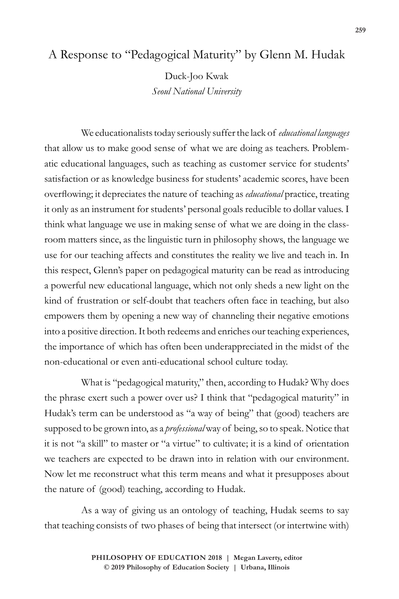## A Response to "Pedagogical Maturity" by Glenn M. Hudak

Duck-Joo Kwak *Seoul National University*

We educationalists today seriously suffer the lack of *educational languages*  that allow us to make good sense of what we are doing as teachers. Problematic educational languages, such as teaching as customer service for students' satisfaction or as knowledge business for students' academic scores, have been overflowing; it depreciates the nature of teaching as *educational* practice, treating it only as an instrument for students' personal goals reducible to dollar values. I think what language we use in making sense of what we are doing in the classroom matters since, as the linguistic turn in philosophy shows, the language we use for our teaching affects and constitutes the reality we live and teach in. In this respect, Glenn's paper on pedagogical maturity can be read as introducing a powerful new educational language, which not only sheds a new light on the kind of frustration or self-doubt that teachers often face in teaching, but also empowers them by opening a new way of channeling their negative emotions into a positive direction. It both redeems and enriches our teaching experiences, the importance of which has often been underappreciated in the midst of the non-educational or even anti-educational school culture today.

What is "pedagogical maturity," then, according to Hudak? Why does the phrase exert such a power over us? I think that "pedagogical maturity" in Hudak's term can be understood as "a way of being" that (good) teachers are supposed to be grown into, as a *professional* way of being, so to speak. Notice that it is not "a skill" to master or "a virtue" to cultivate; it is a kind of orientation we teachers are expected to be drawn into in relation with our environment. Now let me reconstruct what this term means and what it presupposes about the nature of (good) teaching, according to Hudak.

As a way of giving us an ontology of teaching, Hudak seems to say that teaching consists of two phases of being that intersect (or intertwine with)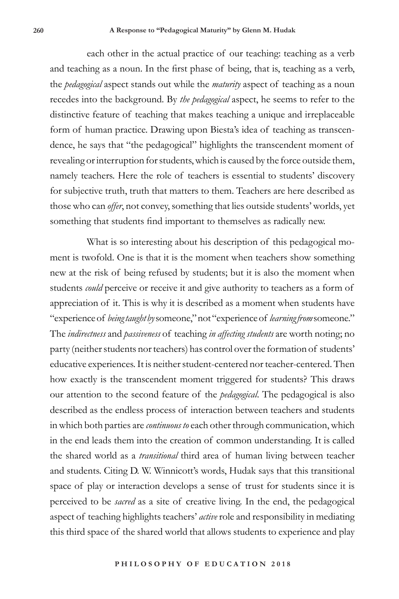each other in the actual practice of our teaching: teaching as a verb and teaching as a noun. In the first phase of being, that is, teaching as a verb, the *pedagogical* aspect stands out while the *maturity* aspect of teaching as a noun recedes into the background. By *the pedagogical* aspect, he seems to refer to the distinctive feature of teaching that makes teaching a unique and irreplaceable form of human practice. Drawing upon Biesta's idea of teaching as transcendence, he says that "the pedagogical" highlights the transcendent moment of revealing or interruption for students, which is caused by the force outside them, namely teachers. Here the role of teachers is essential to students' discovery for subjective truth, truth that matters to them. Teachers are here described as those who can *offer*, not convey, something that lies outside students' worlds, yet something that students find important to themselves as radically new.

What is so interesting about his description of this pedagogical moment is twofold. One is that it is the moment when teachers show something new at the risk of being refused by students; but it is also the moment when students *could* perceive or receive it and give authority to teachers as a form of appreciation of it. This is why it is described as a moment when students have "experience of *being taught by* someone," not "experience of *learning from* someone." The *indirectness* and *passiveness* of teaching *in affecting students* are worth noting; no party (neither students nor teachers) has control over the formation of students' educative experiences. It is neither student-centered nor teacher-centered. Then how exactly is the transcendent moment triggered for students? This draws our attention to the second feature of the *pedagogical*. The pedagogical is also described as the endless process of interaction between teachers and students in which both parties are *continuous to* each other through communication, which in the end leads them into the creation of common understanding. It is called the shared world as a *transitional* third area of human living between teacher and students. Citing D. W. Winnicott's words, Hudak says that this transitional space of play or interaction develops a sense of trust for students since it is perceived to be *sacred* as a site of creative living. In the end, the pedagogical aspect of teaching highlights teachers' *active* role and responsibility in mediating this third space of the shared world that allows students to experience and play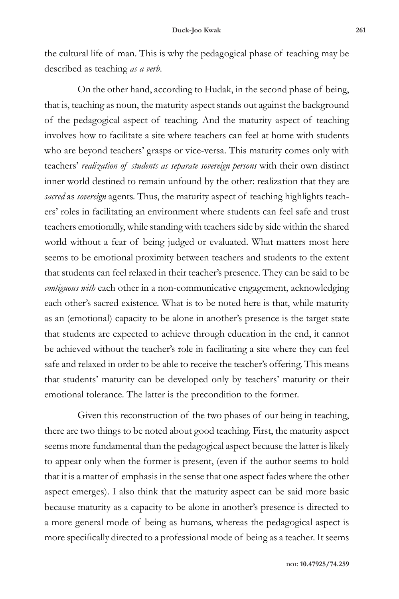the cultural life of man. This is why the pedagogical phase of teaching may be described as teaching *as a verb*.

On the other hand, according to Hudak, in the second phase of being, that is, teaching as noun, the maturity aspect stands out against the background of the pedagogical aspect of teaching. And the maturity aspect of teaching involves how to facilitate a site where teachers can feel at home with students who are beyond teachers' grasps or vice-versa. This maturity comes only with teachers' *realization of students as separate sovereign persons* with their own distinct inner world destined to remain unfound by the other: realization that they are *sacred* as *sovereign* agents. Thus, the maturity aspect of teaching highlights teachers' roles in facilitating an environment where students can feel safe and trust teachers emotionally, while standing with teachers side by side within the shared world without a fear of being judged or evaluated. What matters most here seems to be emotional proximity between teachers and students to the extent that students can feel relaxed in their teacher's presence. They can be said to be *contiguous with* each other in a non-communicative engagement, acknowledging each other's sacred existence. What is to be noted here is that, while maturity as an (emotional) capacity to be alone in another's presence is the target state that students are expected to achieve through education in the end, it cannot be achieved without the teacher's role in facilitating a site where they can feel safe and relaxed in order to be able to receive the teacher's offering. This means that students' maturity can be developed only by teachers' maturity or their emotional tolerance. The latter is the precondition to the former.

Given this reconstruction of the two phases of our being in teaching, there are two things to be noted about good teaching. First, the maturity aspect seems more fundamental than the pedagogical aspect because the latter is likely to appear only when the former is present, (even if the author seems to hold that it is a matter of emphasis in the sense that one aspect fades where the other aspect emerges). I also think that the maturity aspect can be said more basic because maturity as a capacity to be alone in another's presence is directed to a more general mode of being as humans, whereas the pedagogical aspect is more specifically directed to a professional mode of being as a teacher. It seems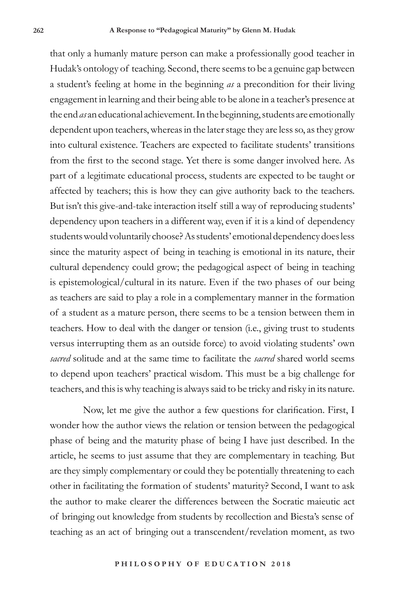that only a humanly mature person can make a professionally good teacher in Hudak's ontology of teaching. Second, there seems to be a genuine gap between a student's feeling at home in the beginning *as* a precondition for their living engagement in learning and their being able to be alone in a teacher's presence at the end *as* an educational achievement. In the beginning, students are emotionally dependent upon teachers, whereas in the later stage they are less so, as they grow into cultural existence. Teachers are expected to facilitate students' transitions from the first to the second stage. Yet there is some danger involved here. As part of a legitimate educational process, students are expected to be taught or affected by teachers; this is how they can give authority back to the teachers. But isn't this give-and-take interaction itself still a way of reproducing students' dependency upon teachers in a different way, even if it is a kind of dependency students would voluntarily choose? As students' emotional dependency does less since the maturity aspect of being in teaching is emotional in its nature, their cultural dependency could grow; the pedagogical aspect of being in teaching is epistemological/cultural in its nature. Even if the two phases of our being as teachers are said to play a role in a complementary manner in the formation of a student as a mature person, there seems to be a tension between them in teachers. How to deal with the danger or tension (i.e., giving trust to students versus interrupting them as an outside force) to avoid violating students' own *sacred* solitude and at the same time to facilitate the *sacred* shared world seems to depend upon teachers' practical wisdom. This must be a big challenge for teachers, and this is why teaching is always said to be tricky and risky in its nature.

Now, let me give the author a few questions for clarification. First, I wonder how the author views the relation or tension between the pedagogical phase of being and the maturity phase of being I have just described. In the article, he seems to just assume that they are complementary in teaching. But are they simply complementary or could they be potentially threatening to each other in facilitating the formation of students' maturity? Second, I want to ask the author to make clearer the differences between the Socratic maieutic act of bringing out knowledge from students by recollection and Biesta's sense of teaching as an act of bringing out a transcendent/revelation moment, as two